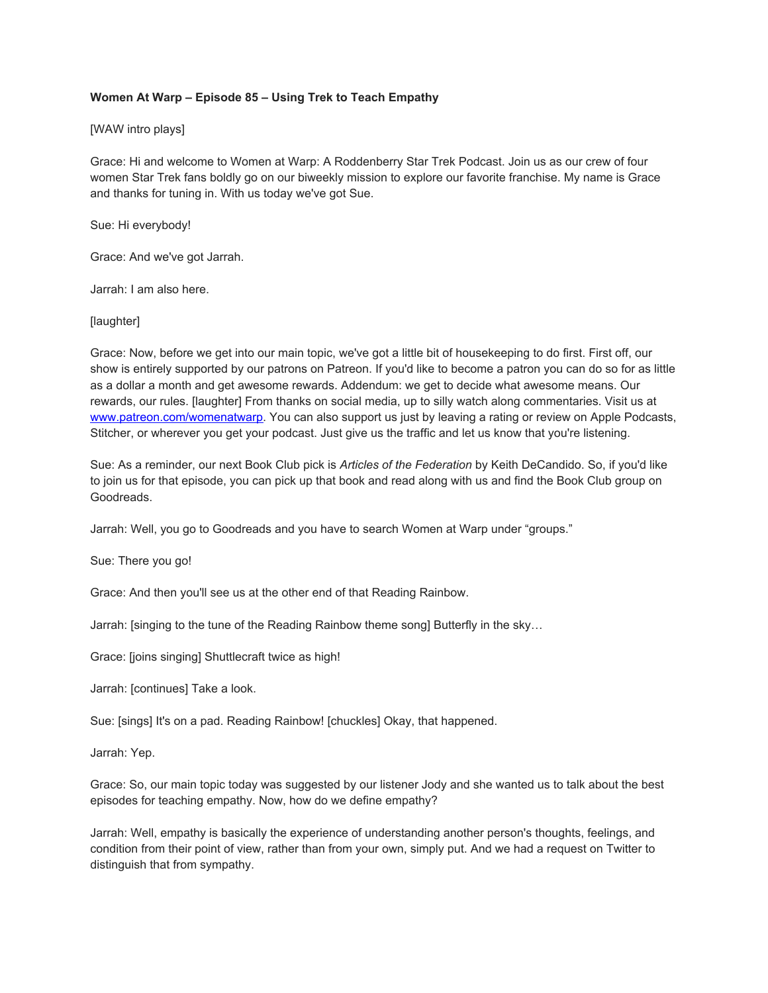# **Women At Warp – Episode 85 – Using Trek to Teach Empathy**

## [WAW intro plays]

Grace: Hi and welcome to Women at Warp: A Roddenberry Star Trek Podcast. Join us as our crew of four women Star Trek fans boldly go on our biweekly mission to explore our favorite franchise. My name is Grace and thanks for tuning in. With us today we've got Sue.

Sue: Hi everybody!

Grace: And we've got Jarrah.

Jarrah: I am also here.

## [laughter]

Grace: Now, before we get into our main topic, we've got a little bit of housekeeping to do first. First off, our show is entirely supported by our patrons on Patreon. If you'd like to become a patron you can do so for as little as a dollar a month and get awesome rewards. Addendum: we get to decide what awesome means. Our rewards, our rules. [laughter] From thanks on social media, up to silly watch along commentaries. Visit us at [www.patreon.com/womenatwarp.](http://www.patreon.com/womenatwarp) You can also support us just by leaving a rating or review on Apple Podcasts, Stitcher, or wherever you get your podcast. Just give us the traffic and let us know that you're listening.

Sue: As a reminder, our next Book Club pick is *Articles of the Federation* by Keith DeCandido. So, if you'd like to join us for that episode, you can pick up that book and read along with us and find the Book Club group on Goodreads.

Jarrah: Well, you go to Goodreads and you have to search Women at Warp under "groups."

Sue: There you go!

Grace: And then you'll see us at the other end of that Reading Rainbow.

Jarrah: [singing to the tune of the Reading Rainbow theme song] Butterfly in the sky…

Grace: [joins singing] Shuttlecraft twice as high!

Jarrah: [continues] Take a look.

Sue: [sings] It's on a pad. Reading Rainbow! [chuckles] Okay, that happened.

Jarrah: Yep.

Grace: So, our main topic today was suggested by our listener Jody and she wanted us to talk about the best episodes for teaching empathy. Now, how do we define empathy?

Jarrah: Well, empathy is basically the experience of understanding another person's thoughts, feelings, and condition from their point of view, rather than from your own, simply put. And we had a request on Twitter to distinguish that from sympathy.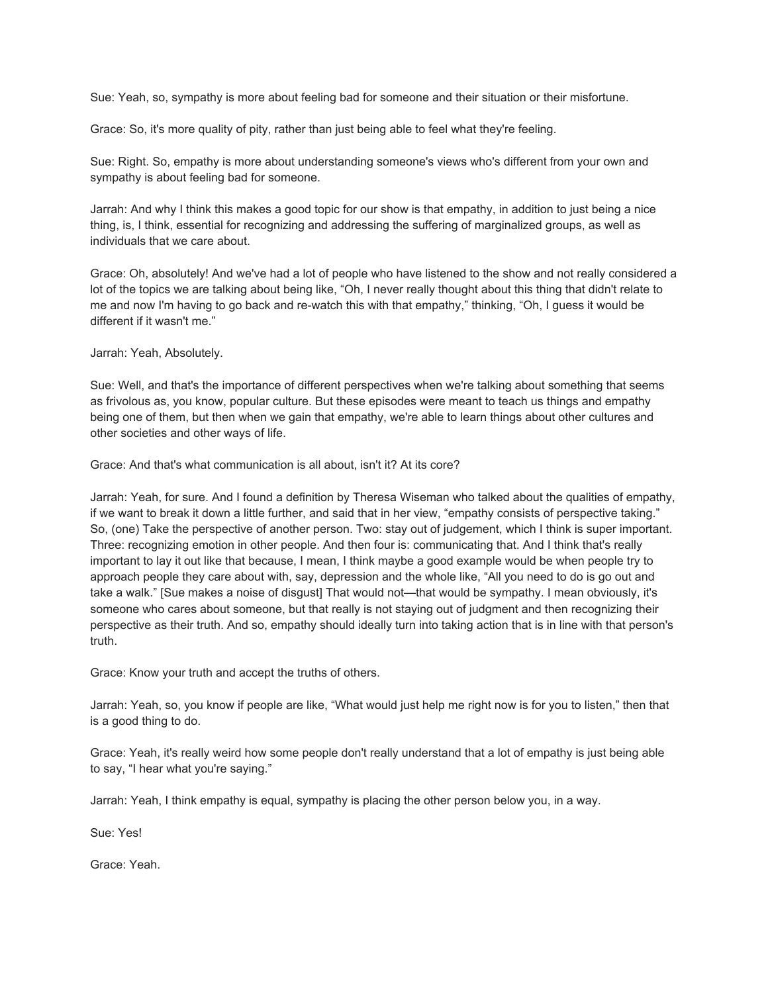Sue: Yeah, so, sympathy is more about feeling bad for someone and their situation or their misfortune.

Grace: So, it's more quality of pity, rather than just being able to feel what they're feeling.

Sue: Right. So, empathy is more about understanding someone's views who's different from your own and sympathy is about feeling bad for someone.

Jarrah: And why I think this makes a good topic for our show is that empathy, in addition to just being a nice thing, is, I think, essential for recognizing and addressing the suffering of marginalized groups, as well as individuals that we care about.

Grace: Oh, absolutely! And we've had a lot of people who have listened to the show and not really considered a lot of the topics we are talking about being like, "Oh, I never really thought about this thing that didn't relate to me and now I'm having to go back and re-watch this with that empathy," thinking, "Oh, I guess it would be different if it wasn't me."

Jarrah: Yeah, Absolutely.

Sue: Well, and that's the importance of different perspectives when we're talking about something that seems as frivolous as, you know, popular culture. But these episodes were meant to teach us things and empathy being one of them, but then when we gain that empathy, we're able to learn things about other cultures and other societies and other ways of life.

Grace: And that's what communication is all about, isn't it? At its core?

Jarrah: Yeah, for sure. And I found a definition by Theresa Wiseman who talked about the qualities of empathy, if we want to break it down a little further, and said that in her view, "empathy consists of perspective taking." So, (one) Take the perspective of another person. Two: stay out of judgement, which I think is super important. Three: recognizing emotion in other people. And then four is: communicating that. And I think that's really important to lay it out like that because, I mean, I think maybe a good example would be when people try to approach people they care about with, say, depression and the whole like, "All you need to do is go out and take a walk." [Sue makes a noise of disgust] That would not—that would be sympathy. I mean obviously, it's someone who cares about someone, but that really is not staying out of judgment and then recognizing their perspective as their truth. And so, empathy should ideally turn into taking action that is in line with that person's truth.

Grace: Know your truth and accept the truths of others.

Jarrah: Yeah, so, you know if people are like, "What would just help me right now is for you to listen," then that is a good thing to do.

Grace: Yeah, it's really weird how some people don't really understand that a lot of empathy is just being able to say, "I hear what you're saying."

Jarrah: Yeah, I think empathy is equal, sympathy is placing the other person below you, in a way.

Sue: Yes!

Grace: Yeah.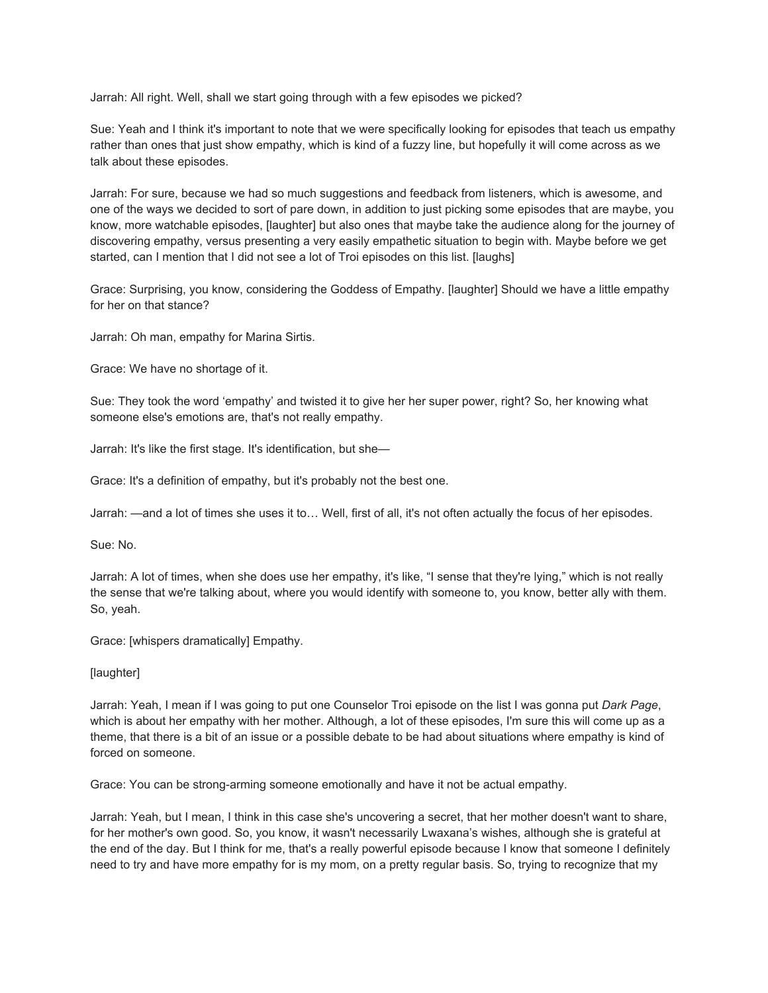Jarrah: All right. Well, shall we start going through with a few episodes we picked?

Sue: Yeah and I think it's important to note that we were specifically looking for episodes that teach us empathy rather than ones that just show empathy, which is kind of a fuzzy line, but hopefully it will come across as we talk about these episodes.

Jarrah: For sure, because we had so much suggestions and feedback from listeners, which is awesome, and one of the ways we decided to sort of pare down, in addition to just picking some episodes that are maybe, you know, more watchable episodes, [laughter] but also ones that maybe take the audience along for the journey of discovering empathy, versus presenting a very easily empathetic situation to begin with. Maybe before we get started, can I mention that I did not see a lot of Troi episodes on this list. [laughs]

Grace: Surprising, you know, considering the Goddess of Empathy. [laughter] Should we have a little empathy for her on that stance?

Jarrah: Oh man, empathy for Marina Sirtis.

Grace: We have no shortage of it.

Sue: They took the word 'empathy' and twisted it to give her her super power, right? So, her knowing what someone else's emotions are, that's not really empathy.

Jarrah: It's like the first stage. It's identification, but she—

Grace: It's a definition of empathy, but it's probably not the best one.

Jarrah: —and a lot of times she uses it to… Well, first of all, it's not often actually the focus of her episodes.

Sue: No.

Jarrah: A lot of times, when she does use her empathy, it's like, "I sense that they're lying," which is not really the sense that we're talking about, where you would identify with someone to, you know, better ally with them. So, yeah.

Grace: [whispers dramatically] Empathy.

[laughter]

Jarrah: Yeah, I mean if I was going to put one Counselor Troi episode on the list I was gonna put *Dark Page*, which is about her empathy with her mother. Although, a lot of these episodes, I'm sure this will come up as a theme, that there is a bit of an issue or a possible debate to be had about situations where empathy is kind of forced on someone.

Grace: You can be strong-arming someone emotionally and have it not be actual empathy.

Jarrah: Yeah, but I mean, I think in this case she's uncovering a secret, that her mother doesn't want to share, for her mother's own good. So, you know, it wasn't necessarily Lwaxana's wishes, although she is grateful at the end of the day. But I think for me, that's a really powerful episode because I know that someone I definitely need to try and have more empathy for is my mom, on a pretty regular basis. So, trying to recognize that my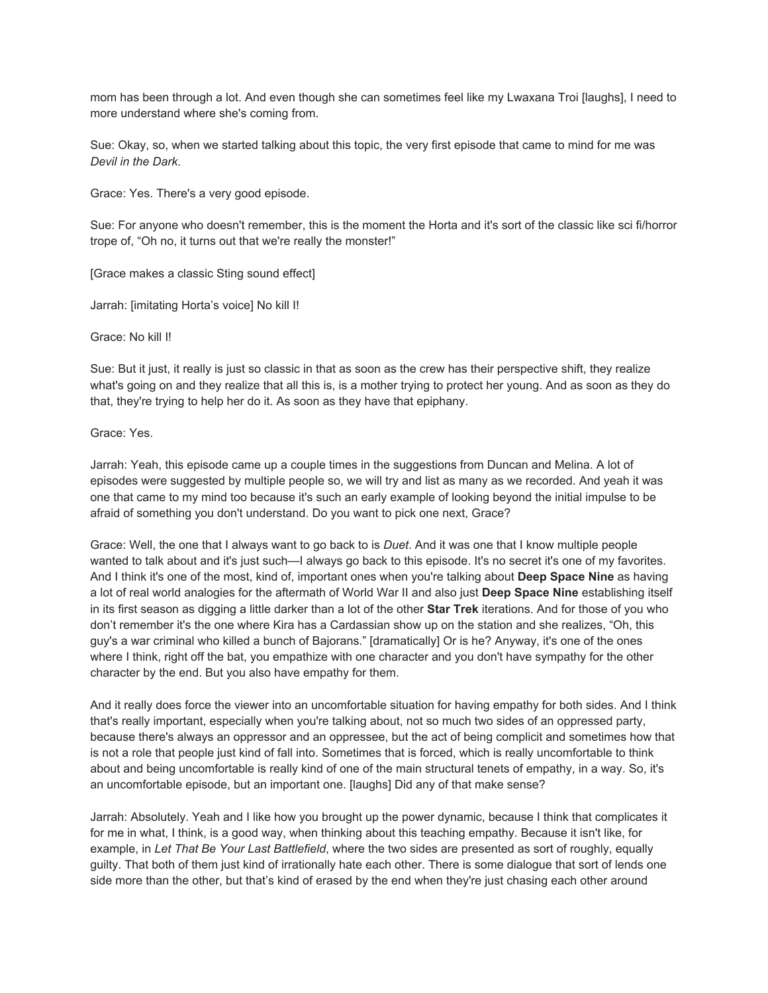mom has been through a lot. And even though she can sometimes feel like my Lwaxana Troi [laughs], I need to more understand where she's coming from.

Sue: Okay, so, when we started talking about this topic, the very first episode that came to mind for me was *Devil in the Dark*.

Grace: Yes. There's a very good episode.

Sue: For anyone who doesn't remember, this is the moment the Horta and it's sort of the classic like sci fi/horror trope of, "Oh no, it turns out that we're really the monster!"

[Grace makes a classic Sting sound effect]

Jarrah: [imitating Horta's voice] No kill I!

Grace: No kill I!

Sue: But it just, it really is just so classic in that as soon as the crew has their perspective shift, they realize what's going on and they realize that all this is, is a mother trying to protect her young. And as soon as they do that, they're trying to help her do it. As soon as they have that epiphany.

Grace: Yes.

Jarrah: Yeah, this episode came up a couple times in the suggestions from Duncan and Melina. A lot of episodes were suggested by multiple people so, we will try and list as many as we recorded. And yeah it was one that came to my mind too because it's such an early example of looking beyond the initial impulse to be afraid of something you don't understand. Do you want to pick one next, Grace?

Grace: Well, the one that I always want to go back to is *Duet*. And it was one that I know multiple people wanted to talk about and it's just such—I always go back to this episode. It's no secret it's one of my favorites. And I think it's one of the most, kind of, important ones when you're talking about **Deep Space Nine** as having a lot of real world analogies for the aftermath of World War II and also just **Deep Space Nine** establishing itself in its first season as digging a little darker than a lot of the other **Star Trek** iterations. And for those of you who don't remember it's the one where Kira has a Cardassian show up on the station and she realizes, "Oh, this guy's a war criminal who killed a bunch of Bajorans." [dramatically] Or is he? Anyway, it's one of the ones where I think, right off the bat, you empathize with one character and you don't have sympathy for the other character by the end. But you also have empathy for them.

And it really does force the viewer into an uncomfortable situation for having empathy for both sides. And I think that's really important, especially when you're talking about, not so much two sides of an oppressed party, because there's always an oppressor and an oppressee, but the act of being complicit and sometimes how that is not a role that people just kind of fall into. Sometimes that is forced, which is really uncomfortable to think about and being uncomfortable is really kind of one of the main structural tenets of empathy, in a way. So, it's an uncomfortable episode, but an important one. [laughs] Did any of that make sense?

Jarrah: Absolutely. Yeah and I like how you brought up the power dynamic, because I think that complicates it for me in what, I think, is a good way, when thinking about this teaching empathy. Because it isn't like, for example, in *Let That Be Your Last Battlefield*, where the two sides are presented as sort of roughly, equally guilty. That both of them just kind of irrationally hate each other. There is some dialogue that sort of lends one side more than the other, but that's kind of erased by the end when they're just chasing each other around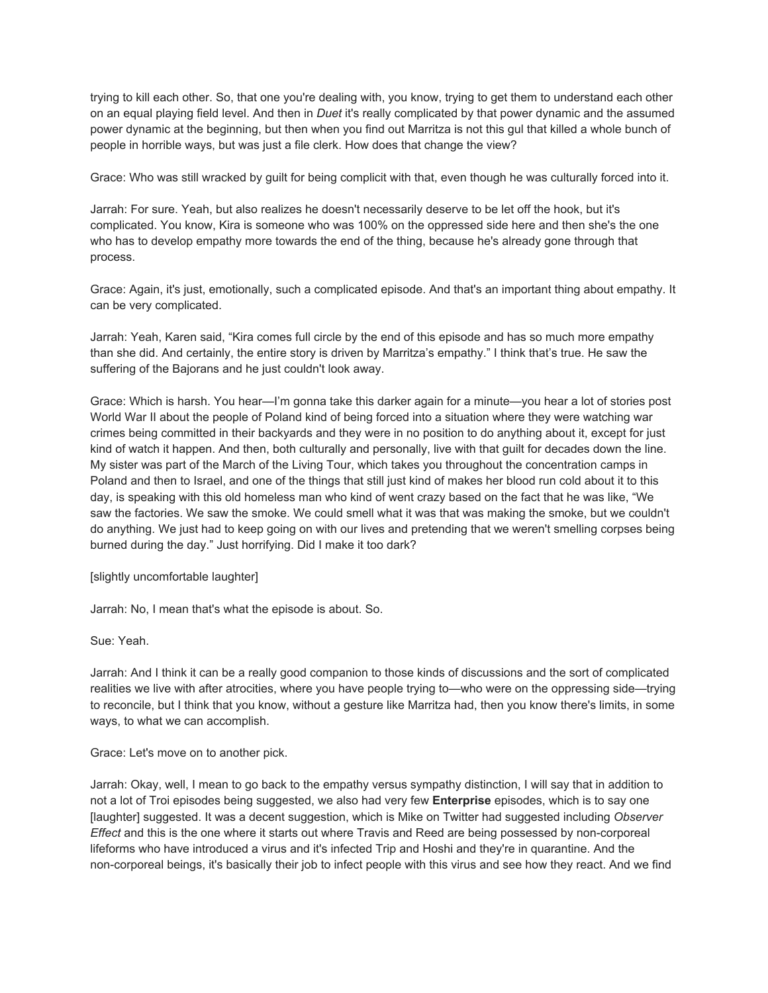trying to kill each other. So, that one you're dealing with, you know, trying to get them to understand each other on an equal playing field level. And then in *Duet* it's really complicated by that power dynamic and the assumed power dynamic at the beginning, but then when you find out Marritza is not this gul that killed a whole bunch of people in horrible ways, but was just a file clerk. How does that change the view?

Grace: Who was still wracked by guilt for being complicit with that, even though he was culturally forced into it.

Jarrah: For sure. Yeah, but also realizes he doesn't necessarily deserve to be let off the hook, but it's complicated. You know, Kira is someone who was 100% on the oppressed side here and then she's the one who has to develop empathy more towards the end of the thing, because he's already gone through that process.

Grace: Again, it's just, emotionally, such a complicated episode. And that's an important thing about empathy. It can be very complicated.

Jarrah: Yeah, Karen said, "Kira comes full circle by the end of this episode and has so much more empathy than she did. And certainly, the entire story is driven by Marritza's empathy." I think that's true. He saw the suffering of the Bajorans and he just couldn't look away.

Grace: Which is harsh. You hear—I'm gonna take this darker again for a minute—you hear a lot of stories post World War II about the people of Poland kind of being forced into a situation where they were watching war crimes being committed in their backyards and they were in no position to do anything about it, except for just kind of watch it happen. And then, both culturally and personally, live with that guilt for decades down the line. My sister was part of the March of the Living Tour, which takes you throughout the concentration camps in Poland and then to Israel, and one of the things that still just kind of makes her blood run cold about it to this day, is speaking with this old homeless man who kind of went crazy based on the fact that he was like, "We saw the factories. We saw the smoke. We could smell what it was that was making the smoke, but we couldn't do anything. We just had to keep going on with our lives and pretending that we weren't smelling corpses being burned during the day." Just horrifying. Did I make it too dark?

[slightly uncomfortable laughter]

Jarrah: No, I mean that's what the episode is about. So.

Sue: Yeah.

Jarrah: And I think it can be a really good companion to those kinds of discussions and the sort of complicated realities we live with after atrocities, where you have people trying to—who were on the oppressing side—trying to reconcile, but I think that you know, without a gesture like Marritza had, then you know there's limits, in some ways, to what we can accomplish.

Grace: Let's move on to another pick.

Jarrah: Okay, well, I mean to go back to the empathy versus sympathy distinction, I will say that in addition to not a lot of Troi episodes being suggested, we also had very few **Enterprise** episodes, which is to say one [laughter] suggested. It was a decent suggestion, which is Mike on Twitter had suggested including *Observer Effect* and this is the one where it starts out where Travis and Reed are being possessed by non-corporeal lifeforms who have introduced a virus and it's infected Trip and Hoshi and they're in quarantine. And the non-corporeal beings, it's basically their job to infect people with this virus and see how they react. And we find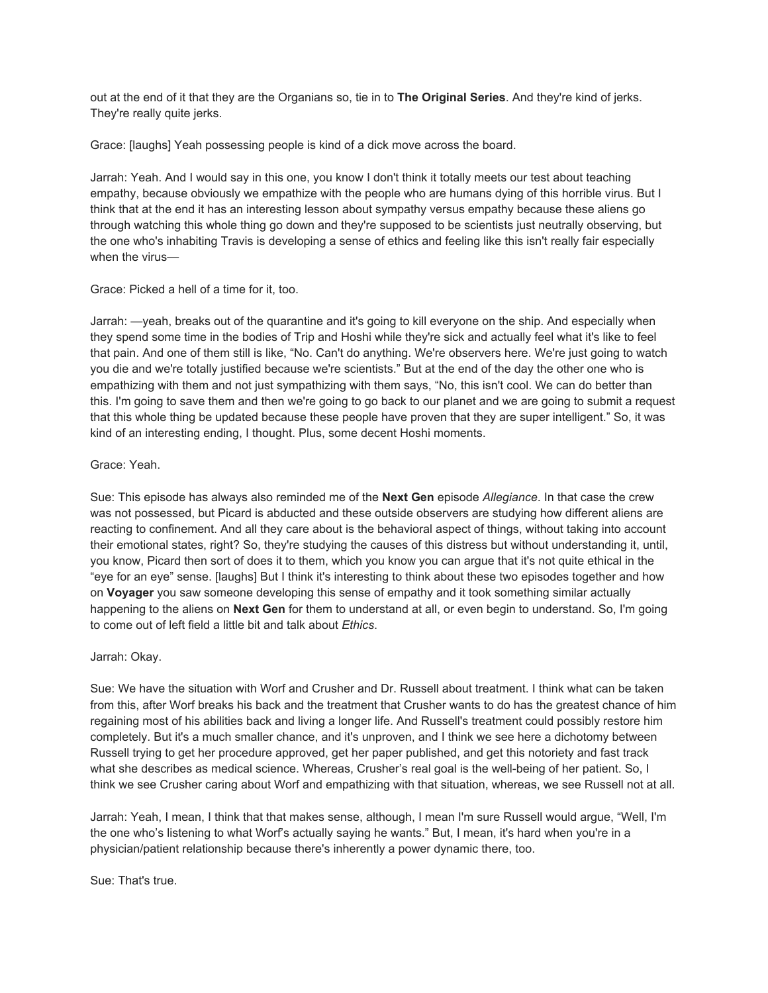out at the end of it that they are the Organians so, tie in to **The Original Series**. And they're kind of jerks. They're really quite jerks.

Grace: [laughs] Yeah possessing people is kind of a dick move across the board.

Jarrah: Yeah. And I would say in this one, you know I don't think it totally meets our test about teaching empathy, because obviously we empathize with the people who are humans dying of this horrible virus. But I think that at the end it has an interesting lesson about sympathy versus empathy because these aliens go through watching this whole thing go down and they're supposed to be scientists just neutrally observing, but the one who's inhabiting Travis is developing a sense of ethics and feeling like this isn't really fair especially when the virus—

Grace: Picked a hell of a time for it, too.

Jarrah: —yeah, breaks out of the quarantine and it's going to kill everyone on the ship. And especially when they spend some time in the bodies of Trip and Hoshi while they're sick and actually feel what it's like to feel that pain. And one of them still is like, "No. Can't do anything. We're observers here. We're just going to watch you die and we're totally justified because we're scientists." But at the end of the day the other one who is empathizing with them and not just sympathizing with them says, "No, this isn't cool. We can do better than this. I'm going to save them and then we're going to go back to our planet and we are going to submit a request that this whole thing be updated because these people have proven that they are super intelligent." So, it was kind of an interesting ending, I thought. Plus, some decent Hoshi moments.

## Grace: Yeah.

Sue: This episode has always also reminded me of the **Next Gen** episode *Allegiance*. In that case the crew was not possessed, but Picard is abducted and these outside observers are studying how different aliens are reacting to confinement. And all they care about is the behavioral aspect of things, without taking into account their emotional states, right? So, they're studying the causes of this distress but without understanding it, until, you know, Picard then sort of does it to them, which you know you can argue that it's not quite ethical in the "eye for an eye" sense. [laughs] But I think it's interesting to think about these two episodes together and how on **Voyager** you saw someone developing this sense of empathy and it took something similar actually happening to the aliens on **Next Gen** for them to understand at all, or even begin to understand. So, I'm going to come out of left field a little bit and talk about *Ethics*.

# Jarrah: Okay.

Sue: We have the situation with Worf and Crusher and Dr. Russell about treatment. I think what can be taken from this, after Worf breaks his back and the treatment that Crusher wants to do has the greatest chance of him regaining most of his abilities back and living a longer life. And Russell's treatment could possibly restore him completely. But it's a much smaller chance, and it's unproven, and I think we see here a dichotomy between Russell trying to get her procedure approved, get her paper published, and get this notoriety and fast track what she describes as medical science. Whereas, Crusher's real goal is the well-being of her patient. So, I think we see Crusher caring about Worf and empathizing with that situation, whereas, we see Russell not at all.

Jarrah: Yeah, I mean, I think that that makes sense, although, I mean I'm sure Russell would argue, "Well, I'm the one who's listening to what Worf's actually saying he wants." But, I mean, it's hard when you're in a physician/patient relationship because there's inherently a power dynamic there, too.

Sue: That's true.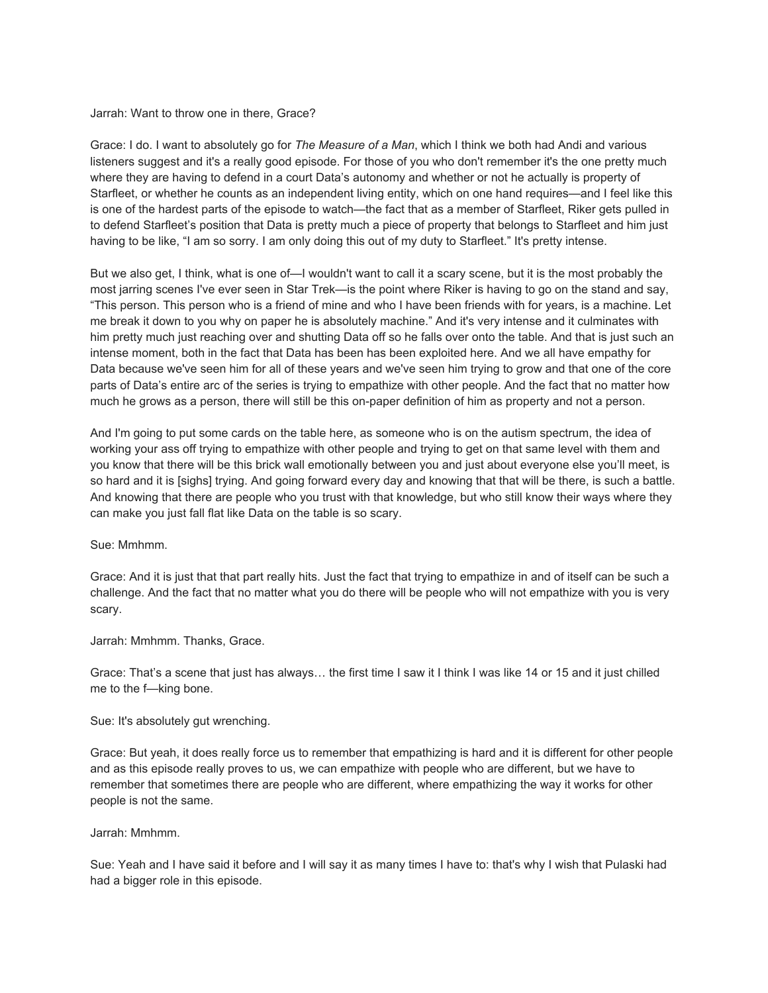#### Jarrah: Want to throw one in there, Grace?

Grace: I do. I want to absolutely go for *The Measure of a Man*, which I think we both had Andi and various listeners suggest and it's a really good episode. For those of you who don't remember it's the one pretty much where they are having to defend in a court Data's autonomy and whether or not he actually is property of Starfleet, or whether he counts as an independent living entity, which on one hand requires—and I feel like this is one of the hardest parts of the episode to watch—the fact that as a member of Starfleet, Riker gets pulled in to defend Starfleet's position that Data is pretty much a piece of property that belongs to Starfleet and him just having to be like, "I am so sorry. I am only doing this out of my duty to Starfleet." It's pretty intense.

But we also get, I think, what is one of—I wouldn't want to call it a scary scene, but it is the most probably the most jarring scenes I've ever seen in Star Trek—is the point where Riker is having to go on the stand and say, "This person. This person who is a friend of mine and who I have been friends with for years, is a machine. Let me break it down to you why on paper he is absolutely machine." And it's very intense and it culminates with him pretty much just reaching over and shutting Data off so he falls over onto the table. And that is just such an intense moment, both in the fact that Data has been has been exploited here. And we all have empathy for Data because we've seen him for all of these years and we've seen him trying to grow and that one of the core parts of Data's entire arc of the series is trying to empathize with other people. And the fact that no matter how much he grows as a person, there will still be this on-paper definition of him as property and not a person.

And I'm going to put some cards on the table here, as someone who is on the autism spectrum, the idea of working your ass off trying to empathize with other people and trying to get on that same level with them and you know that there will be this brick wall emotionally between you and just about everyone else you'll meet, is so hard and it is [sighs] trying. And going forward every day and knowing that that will be there, is such a battle. And knowing that there are people who you trust with that knowledge, but who still know their ways where they can make you just fall flat like Data on the table is so scary.

Sue: Mmhmm.

Grace: And it is just that that part really hits. Just the fact that trying to empathize in and of itself can be such a challenge. And the fact that no matter what you do there will be people who will not empathize with you is very scary.

Jarrah: Mmhmm. Thanks, Grace.

Grace: That's a scene that just has always… the first time I saw it I think I was like 14 or 15 and it just chilled me to the f—king bone.

Sue: It's absolutely gut wrenching.

Grace: But yeah, it does really force us to remember that empathizing is hard and it is different for other people and as this episode really proves to us, we can empathize with people who are different, but we have to remember that sometimes there are people who are different, where empathizing the way it works for other people is not the same.

Jarrah: Mmhmm.

Sue: Yeah and I have said it before and I will say it as many times I have to: that's why I wish that Pulaski had had a bigger role in this episode.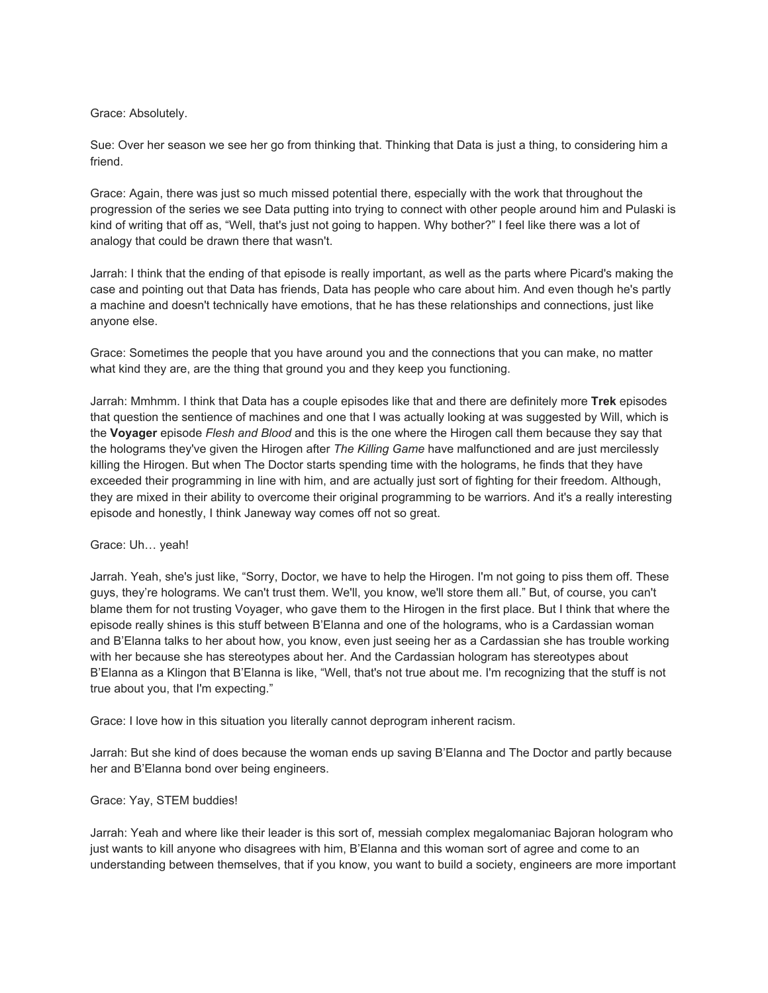## Grace: Absolutely.

Sue: Over her season we see her go from thinking that. Thinking that Data is just a thing, to considering him a friend.

Grace: Again, there was just so much missed potential there, especially with the work that throughout the progression of the series we see Data putting into trying to connect with other people around him and Pulaski is kind of writing that off as, "Well, that's just not going to happen. Why bother?" I feel like there was a lot of analogy that could be drawn there that wasn't.

Jarrah: I think that the ending of that episode is really important, as well as the parts where Picard's making the case and pointing out that Data has friends, Data has people who care about him. And even though he's partly a machine and doesn't technically have emotions, that he has these relationships and connections, just like anyone else.

Grace: Sometimes the people that you have around you and the connections that you can make, no matter what kind they are, are the thing that ground you and they keep you functioning.

Jarrah: Mmhmm. I think that Data has a couple episodes like that and there are definitely more **Trek** episodes that question the sentience of machines and one that I was actually looking at was suggested by Will, which is the **Voyager** episode *Flesh and Blood* and this is the one where the Hirogen call them because they say that the holograms they've given the Hirogen after *The Killing Game* have malfunctioned and are just mercilessly killing the Hirogen. But when The Doctor starts spending time with the holograms, he finds that they have exceeded their programming in line with him, and are actually just sort of fighting for their freedom. Although, they are mixed in their ability to overcome their original programming to be warriors. And it's a really interesting episode and honestly, I think Janeway way comes off not so great.

# Grace: Uh… yeah!

Jarrah. Yeah, she's just like, "Sorry, Doctor, we have to help the Hirogen. I'm not going to piss them off. These guys, they're holograms. We can't trust them. We'll, you know, we'll store them all." But, of course, you can't blame them for not trusting Voyager, who gave them to the Hirogen in the first place. But I think that where the episode really shines is this stuff between B'Elanna and one of the holograms, who is a Cardassian woman and B'Elanna talks to her about how, you know, even just seeing her as a Cardassian she has trouble working with her because she has stereotypes about her. And the Cardassian hologram has stereotypes about B'Elanna as a Klingon that B'Elanna is like, "Well, that's not true about me. I'm recognizing that the stuff is not true about you, that I'm expecting."

Grace: I love how in this situation you literally cannot deprogram inherent racism.

Jarrah: But she kind of does because the woman ends up saving B'Elanna and The Doctor and partly because her and B'Elanna bond over being engineers.

#### Grace: Yay, STEM buddies!

Jarrah: Yeah and where like their leader is this sort of, messiah complex megalomaniac Bajoran hologram who just wants to kill anyone who disagrees with him, B'Elanna and this woman sort of agree and come to an understanding between themselves, that if you know, you want to build a society, engineers are more important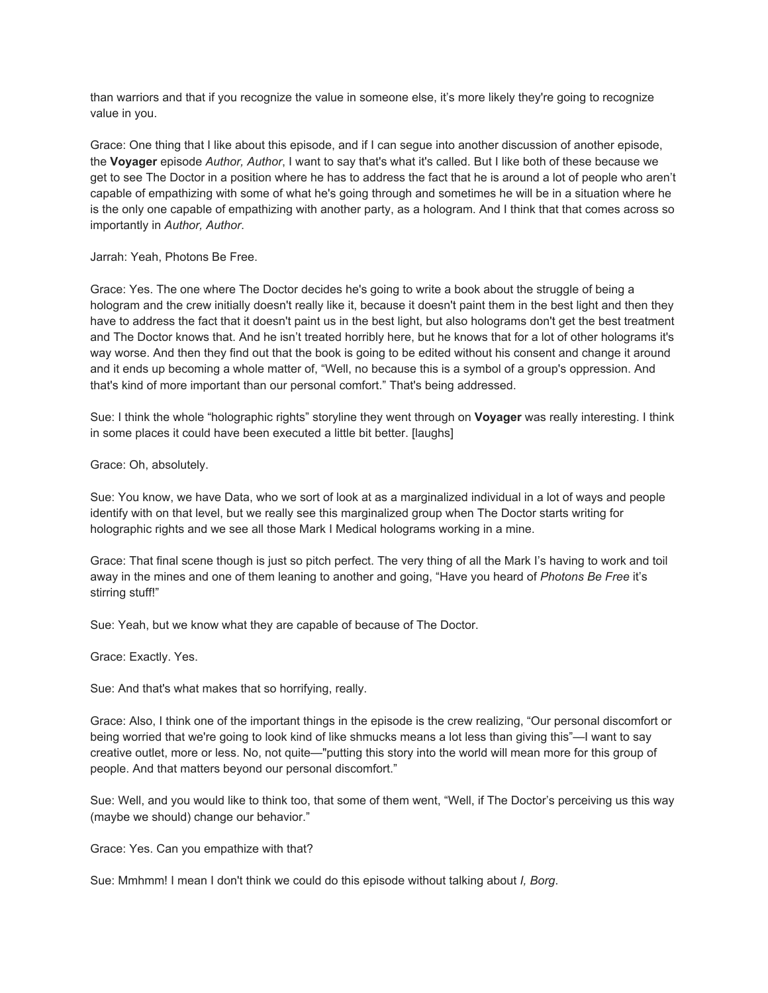than warriors and that if you recognize the value in someone else, it's more likely they're going to recognize value in you.

Grace: One thing that I like about this episode, and if I can segue into another discussion of another episode, the **Voyager** episode *Author, Author*, I want to say that's what it's called. But I like both of these because we get to see The Doctor in a position where he has to address the fact that he is around a lot of people who aren't capable of empathizing with some of what he's going through and sometimes he will be in a situation where he is the only one capable of empathizing with another party, as a hologram. And I think that that comes across so importantly in *Author, Author*.

## Jarrah: Yeah, Photons Be Free.

Grace: Yes. The one where The Doctor decides he's going to write a book about the struggle of being a hologram and the crew initially doesn't really like it, because it doesn't paint them in the best light and then they have to address the fact that it doesn't paint us in the best light, but also holograms don't get the best treatment and The Doctor knows that. And he isn't treated horribly here, but he knows that for a lot of other holograms it's way worse. And then they find out that the book is going to be edited without his consent and change it around and it ends up becoming a whole matter of, "Well, no because this is a symbol of a group's oppression. And that's kind of more important than our personal comfort." That's being addressed.

Sue: I think the whole "holographic rights" storyline they went through on **Voyager** was really interesting. I think in some places it could have been executed a little bit better. [laughs]

## Grace: Oh, absolutely.

Sue: You know, we have Data, who we sort of look at as a marginalized individual in a lot of ways and people identify with on that level, but we really see this marginalized group when The Doctor starts writing for holographic rights and we see all those Mark I Medical holograms working in a mine.

Grace: That final scene though is just so pitch perfect. The very thing of all the Mark I's having to work and toil away in the mines and one of them leaning to another and going, "Have you heard of *Photons Be Free* it's stirring stuff!"

Sue: Yeah, but we know what they are capable of because of The Doctor.

Grace: Exactly. Yes.

Sue: And that's what makes that so horrifying, really.

Grace: Also, I think one of the important things in the episode is the crew realizing, "Our personal discomfort or being worried that we're going to look kind of like shmucks means a lot less than giving this"—I want to say creative outlet, more or less. No, not quite—"putting this story into the world will mean more for this group of people. And that matters beyond our personal discomfort."

Sue: Well, and you would like to think too, that some of them went, "Well, if The Doctor's perceiving us this way (maybe we should) change our behavior."

Grace: Yes. Can you empathize with that?

Sue: Mmhmm! I mean I don't think we could do this episode without talking about *I, Borg*.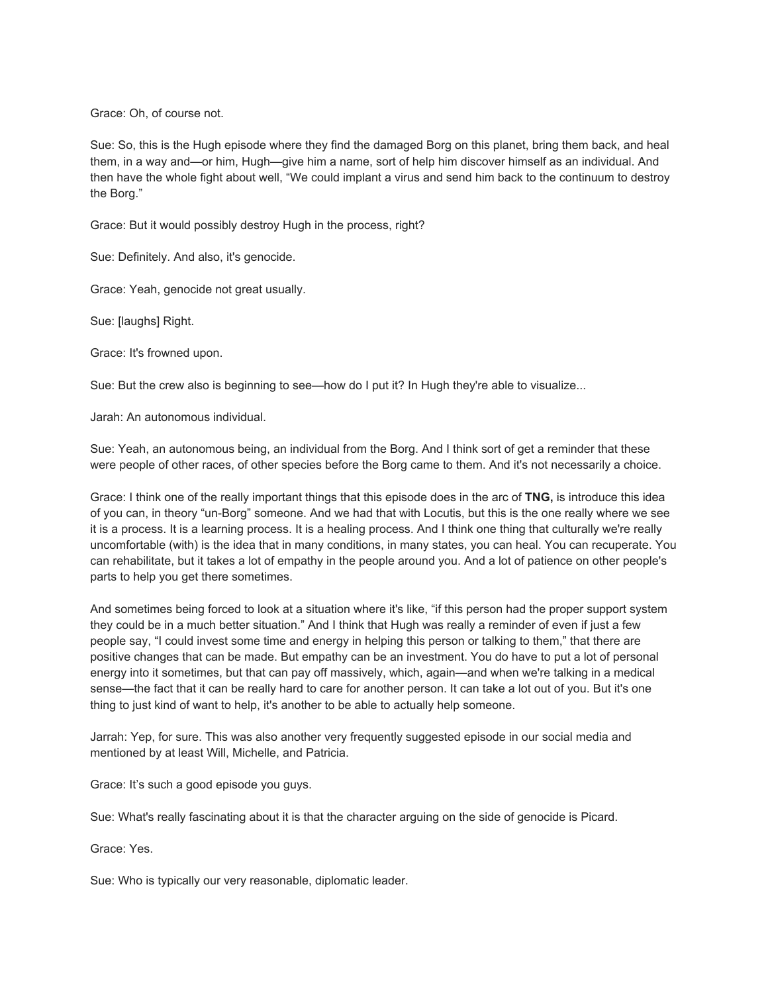Grace: Oh, of course not.

Sue: So, this is the Hugh episode where they find the damaged Borg on this planet, bring them back, and heal them, in a way and—or him, Hugh—give him a name, sort of help him discover himself as an individual. And then have the whole fight about well, "We could implant a virus and send him back to the continuum to destroy the Borg."

Grace: But it would possibly destroy Hugh in the process, right?

Sue: Definitely. And also, it's genocide.

Grace: Yeah, genocide not great usually.

Sue: [laughs] Right.

Grace: It's frowned upon.

Sue: But the crew also is beginning to see—how do I put it? In Hugh they're able to visualize...

Jarah: An autonomous individual.

Sue: Yeah, an autonomous being, an individual from the Borg. And I think sort of get a reminder that these were people of other races, of other species before the Borg came to them. And it's not necessarily a choice.

Grace: I think one of the really important things that this episode does in the arc of **TNG,** is introduce this idea of you can, in theory "un-Borg" someone. And we had that with Locutis, but this is the one really where we see it is a process. It is a learning process. It is a healing process. And I think one thing that culturally we're really uncomfortable (with) is the idea that in many conditions, in many states, you can heal. You can recuperate. You can rehabilitate, but it takes a lot of empathy in the people around you. And a lot of patience on other people's parts to help you get there sometimes.

And sometimes being forced to look at a situation where it's like, "if this person had the proper support system they could be in a much better situation." And I think that Hugh was really a reminder of even if just a few people say, "I could invest some time and energy in helping this person or talking to them," that there are positive changes that can be made. But empathy can be an investment. You do have to put a lot of personal energy into it sometimes, but that can pay off massively, which, again—and when we're talking in a medical sense—the fact that it can be really hard to care for another person. It can take a lot out of you. But it's one thing to just kind of want to help, it's another to be able to actually help someone.

Jarrah: Yep, for sure. This was also another very frequently suggested episode in our social media and mentioned by at least Will, Michelle, and Patricia.

Grace: It's such a good episode you guys.

Sue: What's really fascinating about it is that the character arguing on the side of genocide is Picard.

Grace: Yes.

Sue: Who is typically our very reasonable, diplomatic leader.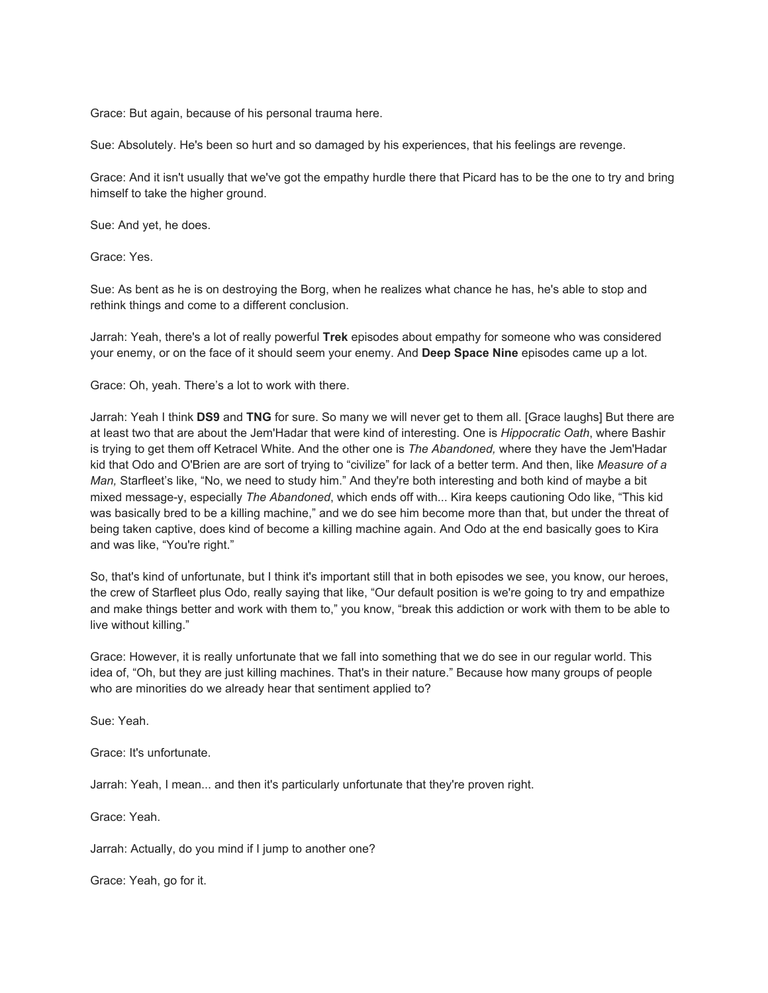Grace: But again, because of his personal trauma here.

Sue: Absolutely. He's been so hurt and so damaged by his experiences, that his feelings are revenge.

Grace: And it isn't usually that we've got the empathy hurdle there that Picard has to be the one to try and bring himself to take the higher ground.

Sue: And yet, he does.

Grace: Yes.

Sue: As bent as he is on destroying the Borg, when he realizes what chance he has, he's able to stop and rethink things and come to a different conclusion.

Jarrah: Yeah, there's a lot of really powerful **Trek** episodes about empathy for someone who was considered your enemy, or on the face of it should seem your enemy. And **Deep Space Nine** episodes came up a lot.

Grace: Oh, yeah. There's a lot to work with there.

Jarrah: Yeah I think **DS9** and **TNG** for sure. So many we will never get to them all. [Grace laughs] But there are at least two that are about the Jem'Hadar that were kind of interesting. One is *Hippocratic Oath*, where Bashir is trying to get them off Ketracel White. And the other one is *The Abandoned,* where they have the Jem'Hadar kid that Odo and O'Brien are are sort of trying to "civilize" for lack of a better term. And then, like *Measure of a Man,* Starfleet's like, "No, we need to study him." And they're both interesting and both kind of maybe a bit mixed message-y, especially *The Abandoned*, which ends off with... Kira keeps cautioning Odo like, "This kid was basically bred to be a killing machine," and we do see him become more than that, but under the threat of being taken captive, does kind of become a killing machine again. And Odo at the end basically goes to Kira and was like, "You're right."

So, that's kind of unfortunate, but I think it's important still that in both episodes we see, you know, our heroes, the crew of Starfleet plus Odo, really saying that like, "Our default position is we're going to try and empathize and make things better and work with them to," you know, "break this addiction or work with them to be able to live without killing."

Grace: However, it is really unfortunate that we fall into something that we do see in our regular world. This idea of, "Oh, but they are just killing machines. That's in their nature." Because how many groups of people who are minorities do we already hear that sentiment applied to?

Sue: Yeah.

Grace: It's unfortunate.

Jarrah: Yeah, I mean... and then it's particularly unfortunate that they're proven right.

Grace: Yeah.

Jarrah: Actually, do you mind if I jump to another one?

Grace: Yeah, go for it.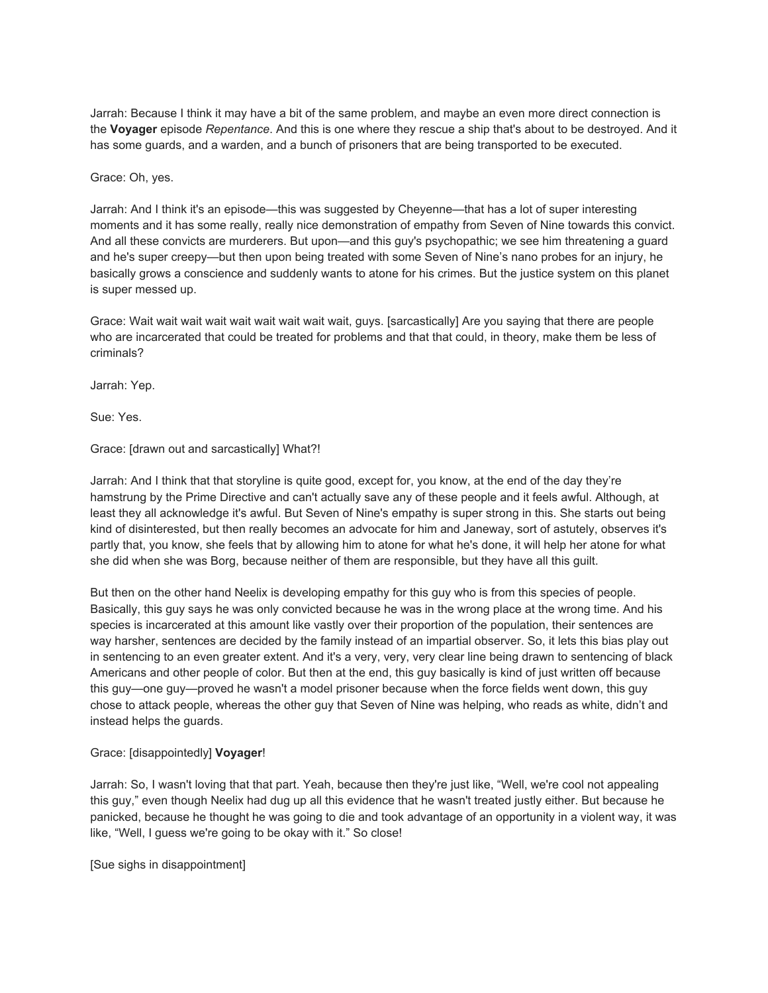Jarrah: Because I think it may have a bit of the same problem, and maybe an even more direct connection is the **Voyager** episode *Repentance*. And this is one where they rescue a ship that's about to be destroyed. And it has some guards, and a warden, and a bunch of prisoners that are being transported to be executed.

Grace: Oh, yes.

Jarrah: And I think it's an episode—this was suggested by Cheyenne—that has a lot of super interesting moments and it has some really, really nice demonstration of empathy from Seven of Nine towards this convict. And all these convicts are murderers. But upon—and this guy's psychopathic; we see him threatening a guard and he's super creepy—but then upon being treated with some Seven of Nine's nano probes for an injury, he basically grows a conscience and suddenly wants to atone for his crimes. But the justice system on this planet is super messed up.

Grace: Wait wait wait wait wait wait wait wait wait, guys. [sarcastically] Are you saying that there are people who are incarcerated that could be treated for problems and that that could, in theory, make them be less of criminals?

Jarrah: Yep.

Sue: Yes.

Grace: [drawn out and sarcastically] What?!

Jarrah: And I think that that storyline is quite good, except for, you know, at the end of the day they're hamstrung by the Prime Directive and can't actually save any of these people and it feels awful. Although, at least they all acknowledge it's awful. But Seven of Nine's empathy is super strong in this. She starts out being kind of disinterested, but then really becomes an advocate for him and Janeway, sort of astutely, observes it's partly that, you know, she feels that by allowing him to atone for what he's done, it will help her atone for what she did when she was Borg, because neither of them are responsible, but they have all this guilt.

But then on the other hand Neelix is developing empathy for this guy who is from this species of people. Basically, this guy says he was only convicted because he was in the wrong place at the wrong time. And his species is incarcerated at this amount like vastly over their proportion of the population, their sentences are way harsher, sentences are decided by the family instead of an impartial observer. So, it lets this bias play out in sentencing to an even greater extent. And it's a very, very, very clear line being drawn to sentencing of black Americans and other people of color. But then at the end, this guy basically is kind of just written off because this guy—one guy—proved he wasn't a model prisoner because when the force fields went down, this guy chose to attack people, whereas the other guy that Seven of Nine was helping, who reads as white, didn't and instead helps the guards.

# Grace: [disappointedly] **Voyager**!

Jarrah: So, I wasn't loving that that part. Yeah, because then they're just like, "Well, we're cool not appealing this guy," even though Neelix had dug up all this evidence that he wasn't treated justly either. But because he panicked, because he thought he was going to die and took advantage of an opportunity in a violent way, it was like, "Well, I guess we're going to be okay with it." So close!

[Sue sighs in disappointment]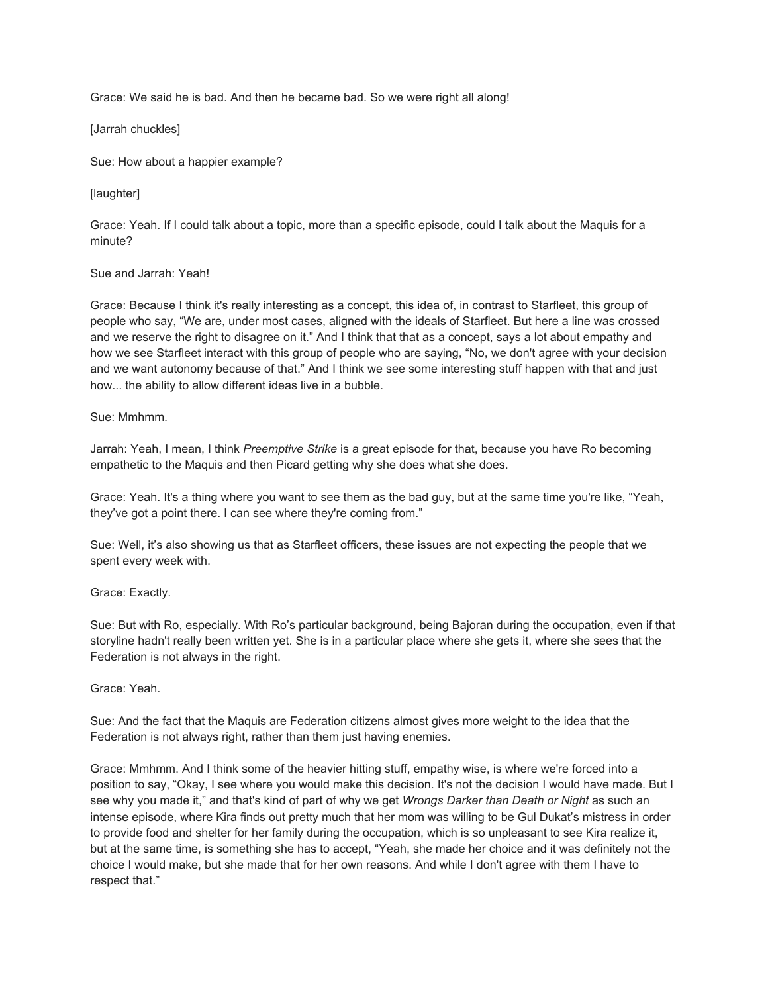Grace: We said he is bad. And then he became bad. So we were right all along!

[Jarrah chuckles]

Sue: How about a happier example?

[laughter]

Grace: Yeah. If I could talk about a topic, more than a specific episode, could I talk about the Maquis for a minute?

## Sue and Jarrah: Yeah!

Grace: Because I think it's really interesting as a concept, this idea of, in contrast to Starfleet, this group of people who say, "We are, under most cases, aligned with the ideals of Starfleet. But here a line was crossed and we reserve the right to disagree on it." And I think that that as a concept, says a lot about empathy and how we see Starfleet interact with this group of people who are saying, "No, we don't agree with your decision and we want autonomy because of that." And I think we see some interesting stuff happen with that and just how... the ability to allow different ideas live in a bubble.

## Sue: Mmhmm.

Jarrah: Yeah, I mean, I think *Preemptive Strike* is a great episode for that, because you have Ro becoming empathetic to the Maquis and then Picard getting why she does what she does.

Grace: Yeah. It's a thing where you want to see them as the bad guy, but at the same time you're like, "Yeah, they've got a point there. I can see where they're coming from."

Sue: Well, it's also showing us that as Starfleet officers, these issues are not expecting the people that we spent every week with.

# Grace: Exactly.

Sue: But with Ro, especially. With Ro's particular background, being Bajoran during the occupation, even if that storyline hadn't really been written yet. She is in a particular place where she gets it, where she sees that the Federation is not always in the right.

#### Grace: Yeah.

Sue: And the fact that the Maquis are Federation citizens almost gives more weight to the idea that the Federation is not always right, rather than them just having enemies.

Grace: Mmhmm. And I think some of the heavier hitting stuff, empathy wise, is where we're forced into a position to say, "Okay, I see where you would make this decision. It's not the decision I would have made. But I see why you made it," and that's kind of part of why we get *Wrongs Darker than Death or Night* as such an intense episode, where Kira finds out pretty much that her mom was willing to be Gul Dukat's mistress in order to provide food and shelter for her family during the occupation, which is so unpleasant to see Kira realize it, but at the same time, is something she has to accept, "Yeah, she made her choice and it was definitely not the choice I would make, but she made that for her own reasons. And while I don't agree with them I have to respect that."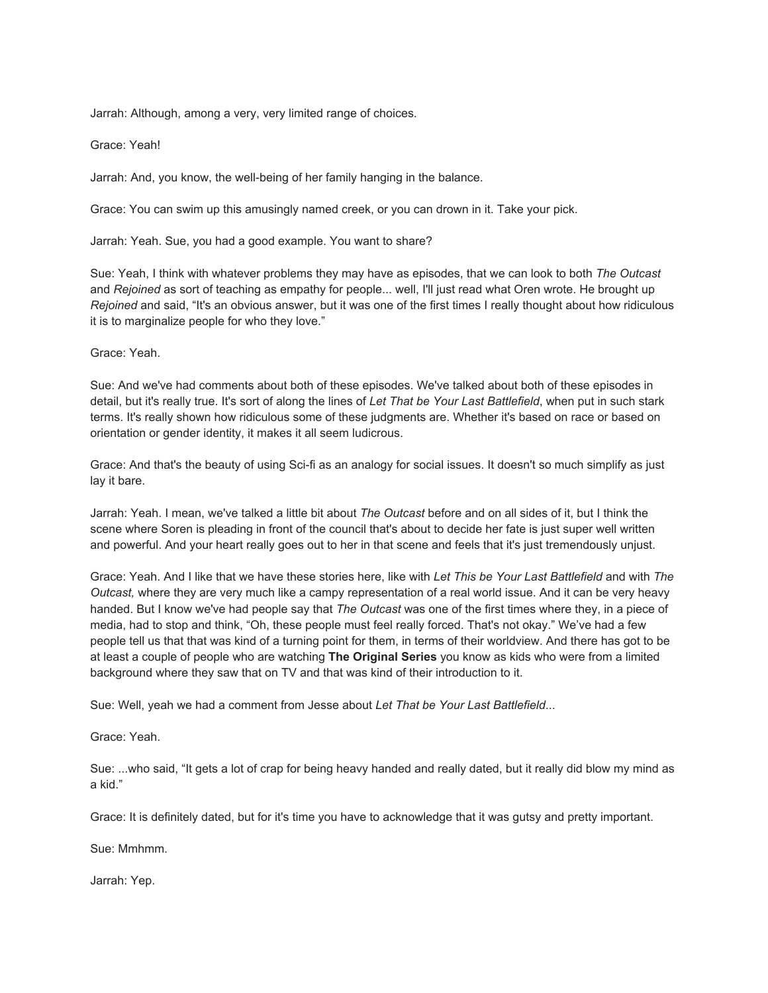Jarrah: Although, among a very, very limited range of choices.

Grace: Yeah!

Jarrah: And, you know, the well-being of her family hanging in the balance.

Grace: You can swim up this amusingly named creek, or you can drown in it. Take your pick.

Jarrah: Yeah. Sue, you had a good example. You want to share?

Sue: Yeah, I think with whatever problems they may have as episodes, that we can look to both *The Outcast* and *Rejoined* as sort of teaching as empathy for people... well, I'll just read what Oren wrote. He brought up *Rejoined* and said, "It's an obvious answer, but it was one of the first times I really thought about how ridiculous it is to marginalize people for who they love."

Grace: Yeah.

Sue: And we've had comments about both of these episodes. We've talked about both of these episodes in detail, but it's really true. It's sort of along the lines of *Let That be Your Last Battlefield*, when put in such stark terms. It's really shown how ridiculous some of these judgments are. Whether it's based on race or based on orientation or gender identity, it makes it all seem ludicrous.

Grace: And that's the beauty of using Sci-fi as an analogy for social issues. It doesn't so much simplify as just lay it bare.

Jarrah: Yeah. I mean, we've talked a little bit about *The Outcast* before and on all sides of it, but I think the scene where Soren is pleading in front of the council that's about to decide her fate is just super well written and powerful. And your heart really goes out to her in that scene and feels that it's just tremendously unjust.

Grace: Yeah. And I like that we have these stories here, like with *Let This be Your Last Battlefield* and with *The Outcast,* where they are very much like a campy representation of a real world issue. And it can be very heavy handed. But I know we've had people say that *The Outcast* was one of the first times where they, in a piece of media, had to stop and think, "Oh, these people must feel really forced. That's not okay." We've had a few people tell us that that was kind of a turning point for them, in terms of their worldview. And there has got to be at least a couple of people who are watching **The Original Series** you know as kids who were from a limited background where they saw that on TV and that was kind of their introduction to it.

Sue: Well, yeah we had a comment from Jesse about *Let That be Your Last Battlefield*...

Grace: Yeah.

Sue: ...who said, "It gets a lot of crap for being heavy handed and really dated, but it really did blow my mind as a kid."

Grace: It is definitely dated, but for it's time you have to acknowledge that it was gutsy and pretty important.

Sue: Mmhmm.

Jarrah: Yep.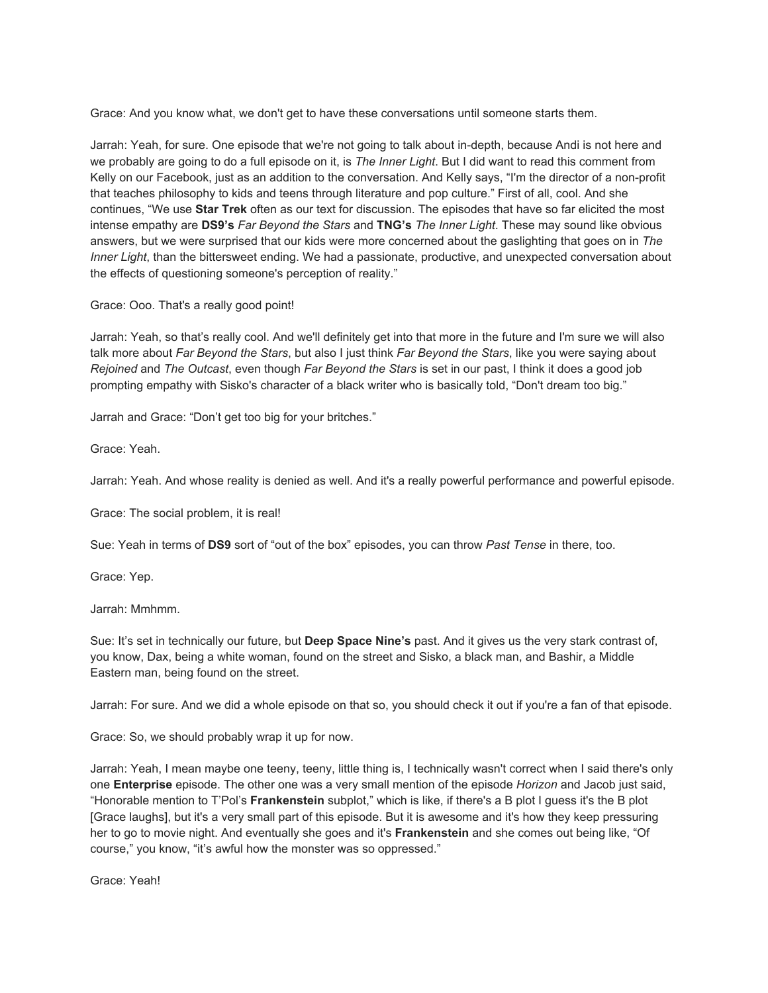Grace: And you know what, we don't get to have these conversations until someone starts them.

Jarrah: Yeah, for sure. One episode that we're not going to talk about in-depth, because Andi is not here and we probably are going to do a full episode on it, is *The Inner Light*. But I did want to read this comment from Kelly on our Facebook, just as an addition to the conversation. And Kelly says, "I'm the director of a non-profit that teaches philosophy to kids and teens through literature and pop culture." First of all, cool. And she continues, "We use **Star Trek** often as our text for discussion. The episodes that have so far elicited the most intense empathy are **DS9's** *Far Beyond the Stars* and **TNG's** *The Inner Light*. These may sound like obvious answers, but we were surprised that our kids were more concerned about the gaslighting that goes on in *The Inner Light*, than the bittersweet ending. We had a passionate, productive, and unexpected conversation about the effects of questioning someone's perception of reality."

Grace: Ooo. That's a really good point!

Jarrah: Yeah, so that's really cool. And we'll definitely get into that more in the future and I'm sure we will also talk more about *Far Beyond the Stars*, but also I just think *Far Beyond the Stars*, like you were saying about *Rejoined* and *The Outcast*, even though *Far Beyond the Stars* is set in our past, I think it does a good job prompting empathy with Sisko's character of a black writer who is basically told, "Don't dream too big."

Jarrah and Grace: "Don't get too big for your britches."

Grace: Yeah.

Jarrah: Yeah. And whose reality is denied as well. And it's a really powerful performance and powerful episode.

Grace: The social problem, it is real!

Sue: Yeah in terms of **DS9** sort of "out of the box" episodes, you can throw *Past Tense* in there, too.

Grace: Yep.

Jarrah: Mmhmm.

Sue: It's set in technically our future, but **Deep Space Nine's** past. And it gives us the very stark contrast of, you know, Dax, being a white woman, found on the street and Sisko, a black man, and Bashir, a Middle Eastern man, being found on the street.

Jarrah: For sure. And we did a whole episode on that so, you should check it out if you're a fan of that episode.

Grace: So, we should probably wrap it up for now.

Jarrah: Yeah, I mean maybe one teeny, teeny, little thing is, I technically wasn't correct when I said there's only one **Enterprise** episode. The other one was a very small mention of the episode *Horizon* and Jacob just said, "Honorable mention to T'Pol's **Frankenstein** subplot," which is like, if there's a B plot I guess it's the B plot [Grace laughs], but it's a very small part of this episode. But it is awesome and it's how they keep pressuring her to go to movie night. And eventually she goes and it's **Frankenstein** and she comes out being like, "Of course," you know, "it's awful how the monster was so oppressed."

Grace: Yeah!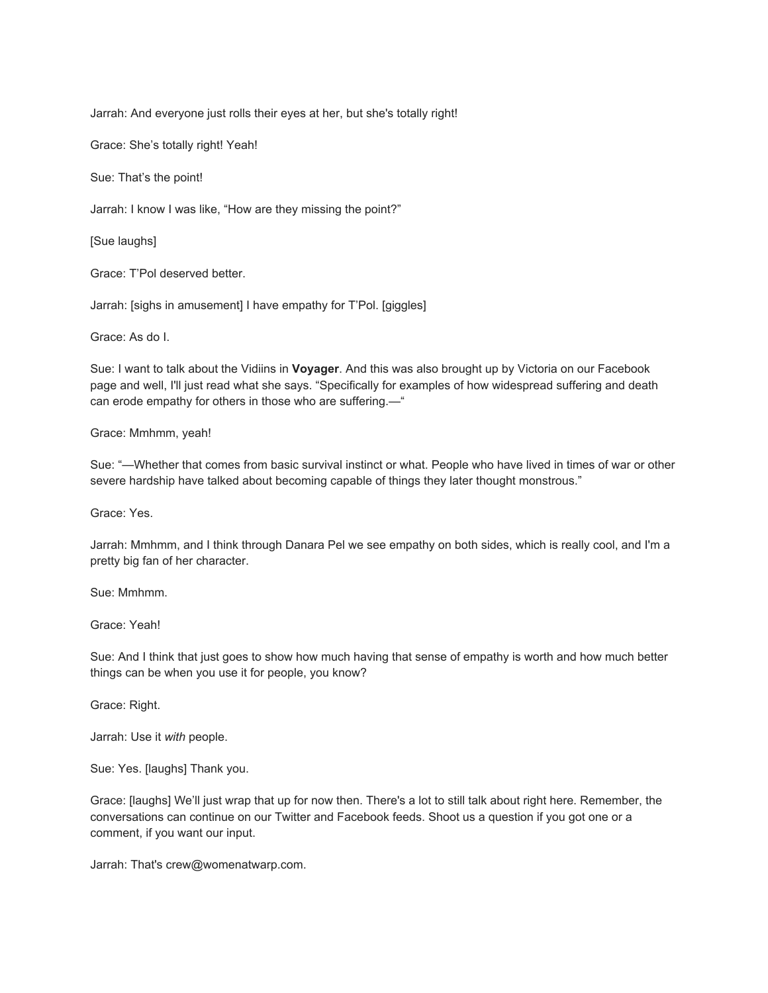Jarrah: And everyone just rolls their eyes at her, but she's totally right!

Grace: She's totally right! Yeah!

Sue: That's the point!

Jarrah: I know I was like, "How are they missing the point?"

[Sue laughs]

Grace: T'Pol deserved better.

Jarrah: [sighs in amusement] I have empathy for T'Pol. [giggles]

Grace: As do I.

Sue: I want to talk about the Vidiins in **Voyager**. And this was also brought up by Victoria on our Facebook page and well, I'll just read what she says. "Specifically for examples of how widespread suffering and death can erode empathy for others in those who are suffering.—"

Grace: Mmhmm, yeah!

Sue: "—Whether that comes from basic survival instinct or what. People who have lived in times of war or other severe hardship have talked about becoming capable of things they later thought monstrous."

Grace: Yes.

Jarrah: Mmhmm, and I think through Danara Pel we see empathy on both sides, which is really cool, and I'm a pretty big fan of her character.

Sue: Mmhmm.

Grace: Yeah!

Sue: And I think that just goes to show how much having that sense of empathy is worth and how much better things can be when you use it for people, you know?

Grace: Right.

Jarrah: Use it *with* people.

Sue: Yes. [laughs] Thank you.

Grace: [laughs] We'll just wrap that up for now then. There's a lot to still talk about right here. Remember, the conversations can continue on our Twitter and Facebook feeds. Shoot us a question if you got one or a comment, if you want our input.

Jarrah: That's crew@womenatwarp.com.